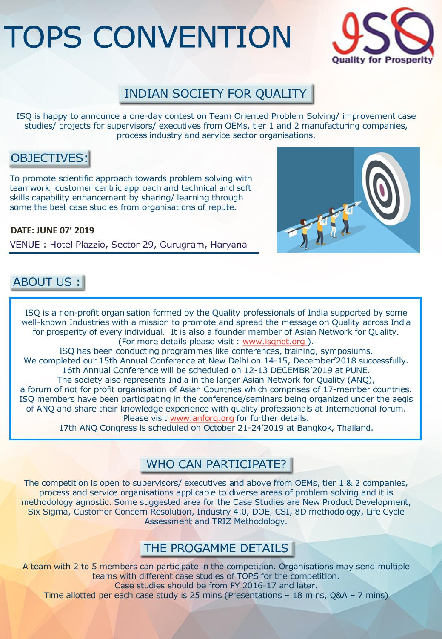# **TOPS CONVENTION**



## **INDIAN SOCIETY FOR QUALITY**

ISQ is happy to announce a one-day contest on Team Oriented Problem Solving/ improvement case studies/ projects for supervisors/ executives from OEMs, tier 1 and 2 manufacturing companies, process industry and service sector organisations.

# **OBJECTIVES:**

To promote scientific approach towards problem solving with teamwork, customer centric approach and technical and soft skills capability enhancement by sharing/ learning through some the best case studies from organisations of repute.

**DATE: JUNE 07' 2019** VENUE : Hotel Plazzio, Sector 29, Gurugram, Haryana



## **ABOUT US:**

ISQ is a non-profit organisation formed by the Quality professionals of India supported by some well-known Industries with a mission to promote and spread the message on Quality across India for prosperity of every individual. It is also a founder member of Asian Network for Quality. (For more details please visit: www.isqnet.org). ISQ has been conducting programmes like conferences, training, symposiums. We completed our 15th Annual Conference at New Delhi on 14-15, December'2018 successfully. 16th Annual Conference will be scheduled on 12-13 DECEMBR'2019 at PUNE. The society also represents India in the larger Asian Network for Quality (ANQ), a forum of not for profit organisation of Asian Countries which comprises of 17-member countries. ISQ members have been participating in the conference/seminars being organized under the aegis of ANQ and share their knowledge experience with quality professionals at International forum. Please visit www.anforq.org for further details.

17th ANQ Congress is scheduled on October 21-24'2019 at Bangkok, Thailand.

#### WHO CAN PARTICIPATE?

The competition is open to supervisors/ executives and above from OEMs, tier 1 & 2 companies, process and service organisations applicable to diverse areas of problem solving and it is methodology agnostic. Some suggested area for the Case Studies are New Product Development, Six Sigma, Customer Concern Resolution, Industry 4.0, DOE, CSI, 8D methodology, Life Cycle Assessment and TRIZ Methodology.

### THE PROGAMME DETAILS

A team with 2 to 5 members can participate in the competition. Organisations may send multiple teams with different case studies of TOPS for the competition. Case studies should be from FY 2016-17 and later. Time allotted per each case study is 25 mins (Presentations - 18 mins, Q&A - 7 mins)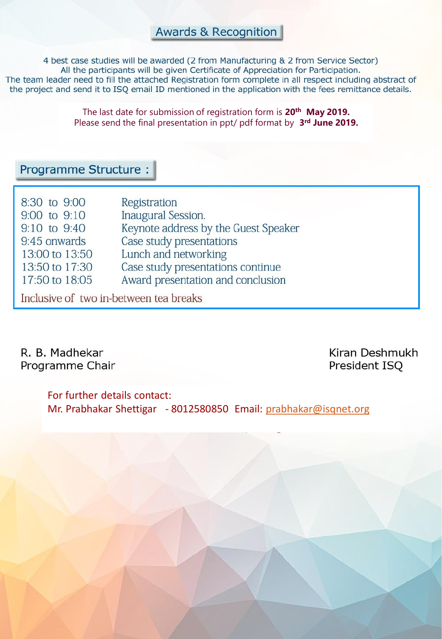#### Awards & Recognition

4 best case studies will be awarded (2 from Manufacturing & 2 from Service Sector) All the participants will be given Certificate of Appreciation for Participation. The team leader need to fill the attached Registration form complete in all respect including abstract of the project and send it to ISQ email ID mentioned in the application with the fees remittance details.

> The last date for submission of registration form is **20th May 2019.** Please send the final presentation in ppt/ pdf format by **3 rd June 2019.**

#### Programme Structure :

| 8:30 to 9:00                           | Registration                         |  |  |  |
|----------------------------------------|--------------------------------------|--|--|--|
| 9:00 to 9:10                           | <b>Inaugural Session.</b>            |  |  |  |
| 9:10 to 9:40                           | Keynote address by the Guest Speaker |  |  |  |
| 9:45 onwards                           | Case study presentations             |  |  |  |
| 13:00 to 13:50                         | Lunch and networking                 |  |  |  |
| 13:50 to 17:30                         | Case study presentations continue    |  |  |  |
| 17:50 to 18:05                         | Award presentation and conclusion    |  |  |  |
| Inclusive of two in-between tea breaks |                                      |  |  |  |

R. B. Madhekar Programme Chair Kiran Deshmukh President ISO

For further details contact: Mr. Prabhakar Shettigar - 8012580850 Email: [prabhakar@isqnet.org](mailto:prabhakar@isqnet.org)